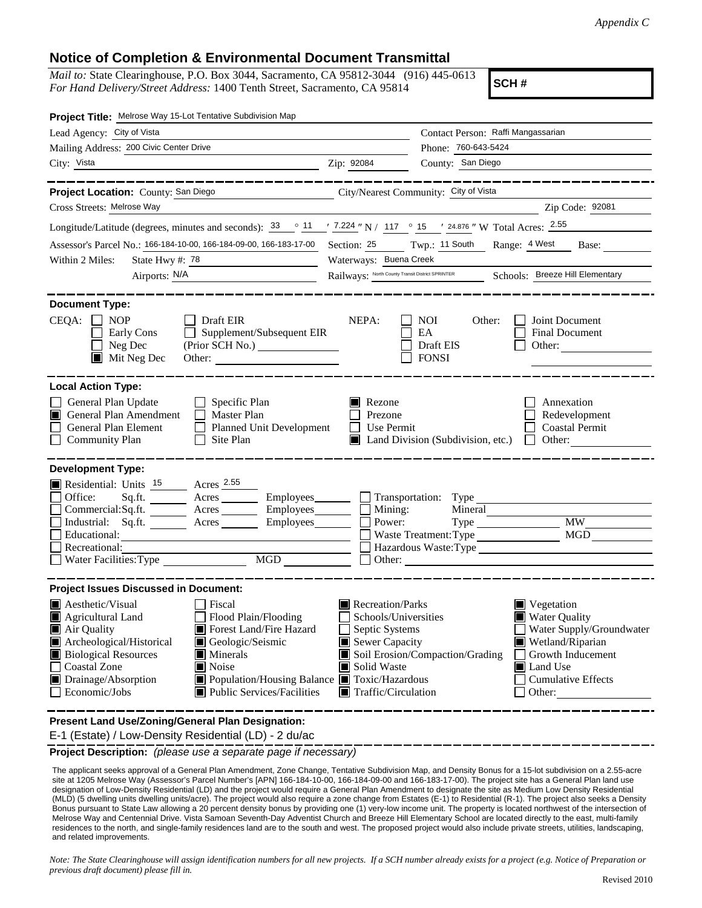## **Notice of Completion & Environmental Document Transmittal**

*Mail to:* State Clearinghouse, P.O. Box 3044, Sacramento, CA 95812-3044 (916) 445-0613 *For Hand Delivery/Street Address:* 1400 Tenth Street, Sacramento, CA 95814

**SCH #**

| Project Title: Melrose Way 15-Lot Tentative Subdivision Map                                                                                                                                  |                                                                                                                                                                                 |  |  |  |  |
|----------------------------------------------------------------------------------------------------------------------------------------------------------------------------------------------|---------------------------------------------------------------------------------------------------------------------------------------------------------------------------------|--|--|--|--|
| Lead Agency: City of Vista                                                                                                                                                                   | Contact Person: Raffi Mangassarian                                                                                                                                              |  |  |  |  |
| Mailing Address: 200 Civic Center Drive                                                                                                                                                      | Phone: 760-643-5424                                                                                                                                                             |  |  |  |  |
| City: Vista<br><u> 1989 - Johann Barn, amerikansk politiker (d. 1989)</u>                                                                                                                    | County: San Diego<br>Zip: 92084                                                                                                                                                 |  |  |  |  |
| ______________                                                                                                                                                                               | . __ __ __ __ __ __ __ __ __ __                                                                                                                                                 |  |  |  |  |
| Project Location: County: San Diego<br><u> 1990 - Johann Barbara, martin a</u>                                                                                                               | City/Nearest Community: City of Vista                                                                                                                                           |  |  |  |  |
| Cross Streets: Melrose Way                                                                                                                                                                   | Zip Code: 92081                                                                                                                                                                 |  |  |  |  |
| Longitude/Latitude (degrees, minutes and seconds): $\frac{33}{11}$ $\frac{11}{12}$ $\frac{7.224}{11}$ N / 117 $\degree$ 15 $\degree$ / 24.876 " W Total Acres: $\frac{2.55}{12.5}$           |                                                                                                                                                                                 |  |  |  |  |
| Assessor's Parcel No.: 166-184-10-00, 166-184-09-00, 166-183-17-00 Section: 25 Twp.: 11 South Range: 4 West                                                                                  | Base:                                                                                                                                                                           |  |  |  |  |
| Within 2 Miles:<br>State Hwy #: 78<br><u> 1989 - Johann Barn, mars ann an t-Amhair ann an t-</u>                                                                                             | Waterways: Buena Creek                                                                                                                                                          |  |  |  |  |
| Airports: N/A                                                                                                                                                                                | Railways: North County Transit District SPRINTER<br>Schools: Breeze Hill Elementary                                                                                             |  |  |  |  |
| <b>Document Type:</b><br>$CEQA: \Box NP$<br>$\Box$ Draft EIR<br>$\Box$ Supplement/Subsequent EIR<br>Early Cons<br>Neg Dec<br>Mit Neg Dec<br>Other:                                           | NEPA:<br><b>NOI</b><br>Joint Document<br>Other:<br>EA<br>Final Document<br>Draft EIS<br>Other: $\qquad \qquad$<br><b>FONSI</b>                                                  |  |  |  |  |
| <b>Local Action Type:</b>                                                                                                                                                                    |                                                                                                                                                                                 |  |  |  |  |
| General Plan Update<br>$\Box$ Specific Plan<br>General Plan Amendment<br>$\Box$ Master Plan<br>General Plan Element<br>Planned Unit Development<br><b>Community Plan</b><br>$\Box$ Site Plan | $\blacksquare$ Rezone<br>Annexation<br>Prezone<br>Redevelopment<br>Use Permit<br><b>Coastal Permit</b><br>$\perp$<br>$\blacksquare$ Land Division (Subdivision, etc.)<br>Other: |  |  |  |  |
| <b>Development Type:</b>                                                                                                                                                                     |                                                                                                                                                                                 |  |  |  |  |
| Residential: Units <sup>15</sup> Acres 2.55                                                                                                                                                  |                                                                                                                                                                                 |  |  |  |  |
| Office:                                                                                                                                                                                      | $Sq.ft$ Acres Employees $\Box$ Transportation: Type                                                                                                                             |  |  |  |  |
| Commercial:Sq.ft. _________ Acres _____                                                                                                                                                      | $\Box$ Employees $\Box$ Mining:<br>Mineral                                                                                                                                      |  |  |  |  |
| Industrial: Sq.ft. _______ Acres ________ Employees_______<br>Educational:                                                                                                                   | <b>MW</b><br>Power:<br><b>MGD</b><br>Waste Treatment: Type                                                                                                                      |  |  |  |  |
| Recreational:                                                                                                                                                                                | Hazardous Waste:Type                                                                                                                                                            |  |  |  |  |
| $\begin{tabular}{ c c } \hline \text{MGD} & \text{---} \\ \hline \end{tabular}$<br>Water Facilities: Type                                                                                    | Other:                                                                                                                                                                          |  |  |  |  |
| <b>Project Issues Discussed in Document:</b>                                                                                                                                                 |                                                                                                                                                                                 |  |  |  |  |
| <b>A</b> esthetic/Visual<br>Fiscal                                                                                                                                                           | Recreation/Parks<br>Vegetation                                                                                                                                                  |  |  |  |  |
| Agricultural Land<br>Flood Plain/Flooding                                                                                                                                                    | Schools/Universities<br><b>Water Quality</b>                                                                                                                                    |  |  |  |  |
| Forest Land/Fire Hazard<br>Air Quality                                                                                                                                                       | Septic Systems<br>Water Supply/Groundwater                                                                                                                                      |  |  |  |  |
| Archeological/Historical<br>Geologic/Seismic                                                                                                                                                 | Sewer Capacity<br>Wetland/Riparian                                                                                                                                              |  |  |  |  |
| <b>Biological Resources</b><br>Minerals<br><b>Coastal Zone</b><br>Noise                                                                                                                      | Soil Erosion/Compaction/Grading<br>Growth Inducement<br>Solid Waste<br>Land Use                                                                                                 |  |  |  |  |
| Drainage/Absorption<br>Population/Housing Balance Toxic/Hazardous                                                                                                                            | <b>Cumulative Effects</b>                                                                                                                                                       |  |  |  |  |
| Economic/Jobs<br>Public Services/Facilities                                                                                                                                                  | $\blacksquare$ Traffic/Circulation<br>Other:                                                                                                                                    |  |  |  |  |
|                                                                                                                                                                                              |                                                                                                                                                                                 |  |  |  |  |

**Present Land Use/Zoning/General Plan Designation:**

E-1 (Estate) / Low-Density Residential (LD) - 2 du/ac

**Project Description:** *(please use a separate page if necessary)*

 The applicant seeks approval of a General Plan Amendment, Zone Change, Tentative Subdivision Map, and Density Bonus for a 15-lot subdivision on a 2.55-acre site at 1205 Melrose Way (Assessor's Parcel Number's [APN] 166-184-10-00, 166-184-09-00 and 166-183-17-00). The project site has a General Plan land use designation of Low-Density Residential (LD) and the project would require a General Plan Amendment to designate the site as Medium Low Density Residential (MLD) (5 dwelling units dwelling units/acre). The project would also require a zone change from Estates (E-1) to Residential (R-1). The project also seeks a Density Bonus pursuant to State Law allowing a 20 percent density bonus by providing one (1) very-low income unit. The property is located northwest of the intersection of Melrose Way and Centennial Drive. Vista Samoan Seventh-Day Adventist Church and Breeze Hill Elementary School are located directly to the east, multi-family residences to the north, and single-family residences land are to the south and west. The proposed project would also include private streets, utilities, landscaping, and related improvements.

*Note: The State Clearinghouse will assign identification numbers for all new projects. If a SCH number already exists for a project (e.g. Notice of Preparation or previous draft document) please fill in.*